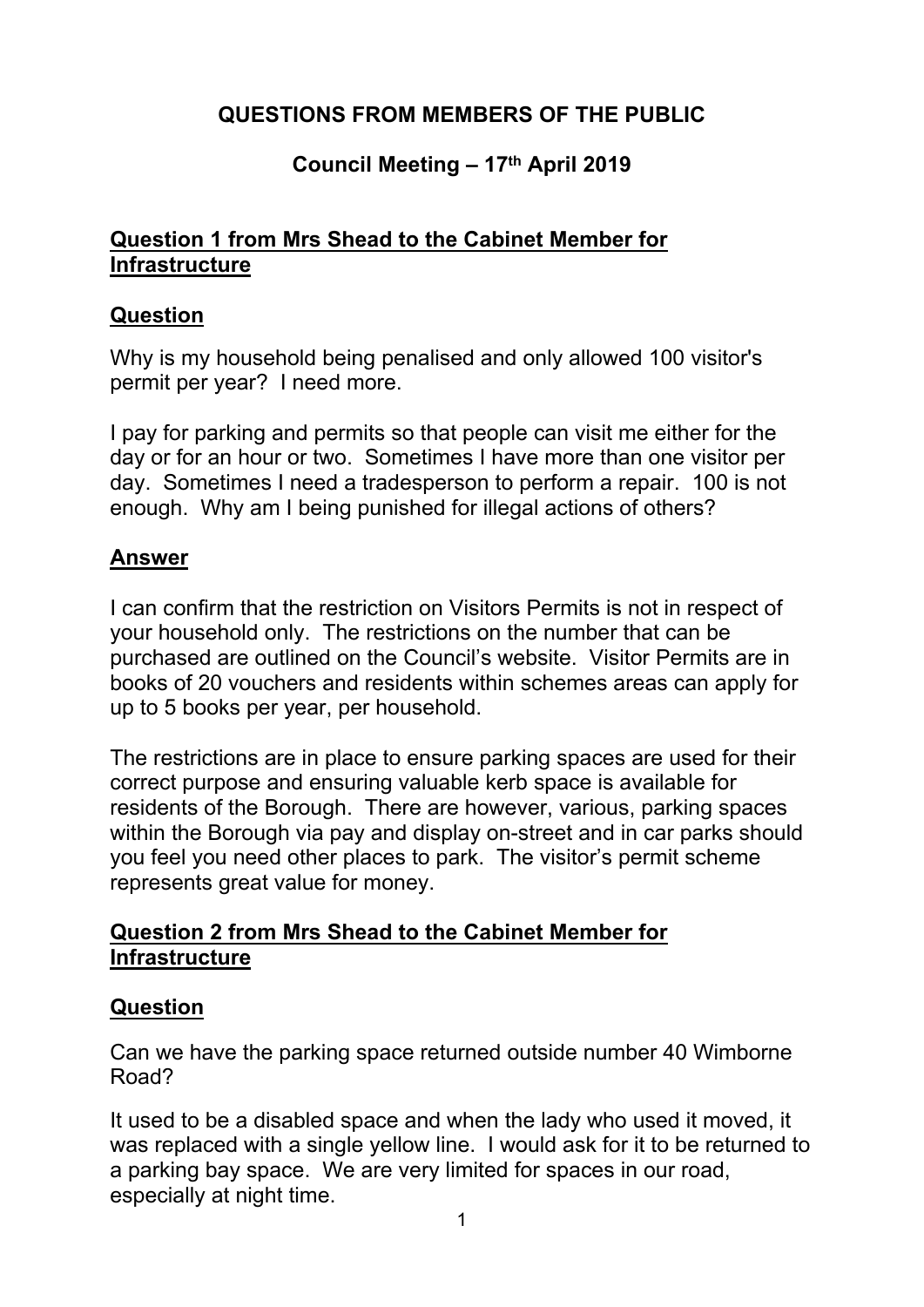# **QUESTIONS FROM MEMBERS OF THE PUBLIC**

## **Council Meeting – 17th April 2019**

#### **Question 1 from Mrs Shead to the Cabinet Member for Infrastructure**

#### **Question**

Why is my household being penalised and only allowed 100 visitor's permit per year? I need more.

I pay for parking and permits so that people can visit me either for the day or for an hour or two. Sometimes I have more than one visitor per day. Sometimes I need a tradesperson to perform a repair. 100 is not enough. Why am I being punished for illegal actions of others?

### **Answer**

I can confirm that the restriction on Visitors Permits is not in respect of your household only. The restrictions on the number that can be purchased are outlined on the Council's website. Visitor Permits are in books of 20 vouchers and residents within schemes areas can apply for up to 5 books per year, per household.

The restrictions are in place to ensure parking spaces are used for their correct purpose and ensuring valuable kerb space is available for residents of the Borough. There are however, various, parking spaces within the Borough via pay and display on-street and in car parks should you feel you need other places to park. The visitor's permit scheme represents great value for money.

#### **Question 2 from Mrs Shead to the Cabinet Member for Infrastructure**

#### **Question**

Can we have the parking space returned outside number 40 Wimborne Road?

It used to be a disabled space and when the lady who used it moved, it was replaced with a single yellow line. I would ask for it to be returned to a parking bay space. We are very limited for spaces in our road, especially at night time.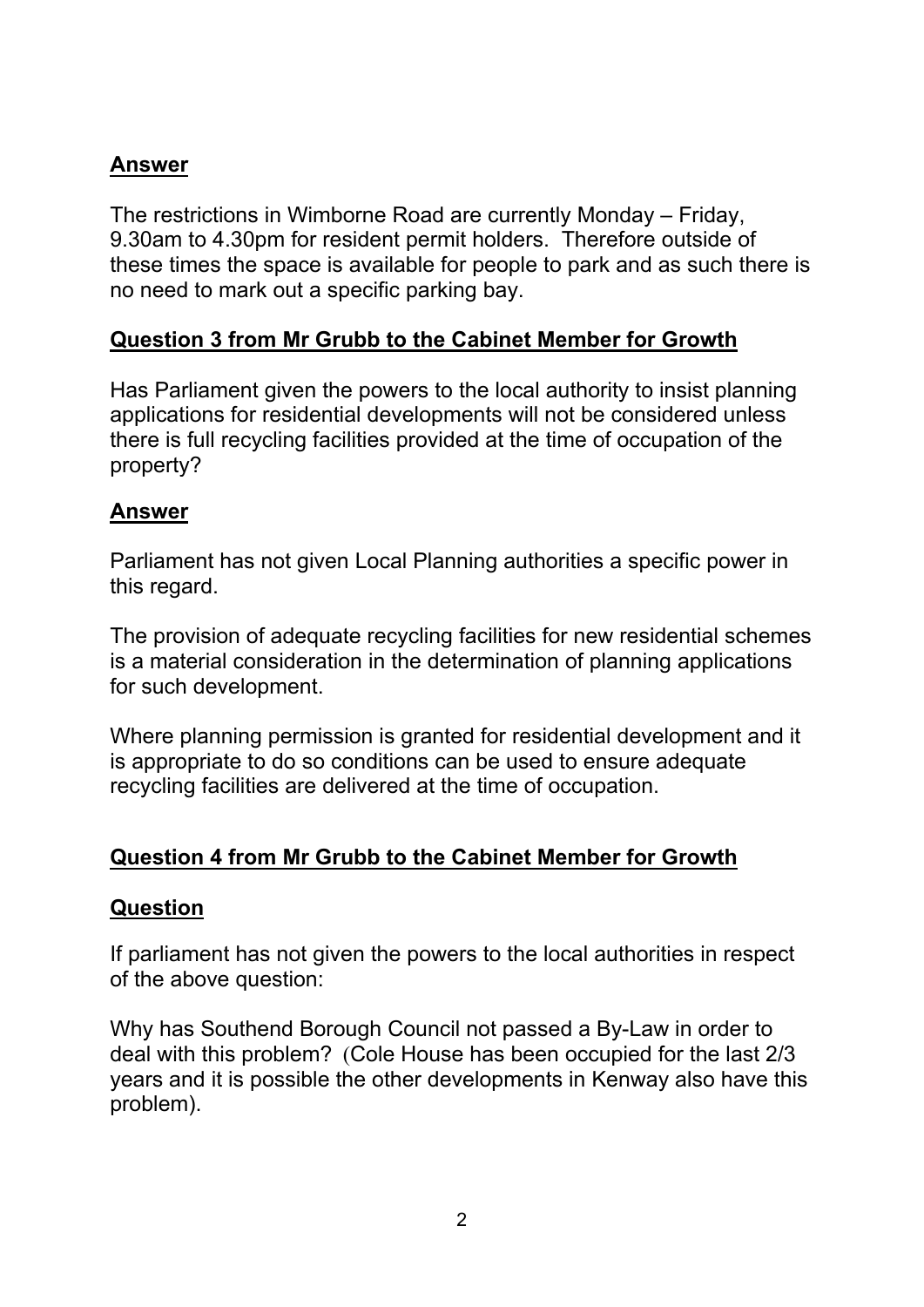## **Answer**

The restrictions in Wimborne Road are currently Monday – Friday, 9.30am to 4.30pm for resident permit holders. Therefore outside of these times the space is available for people to park and as such there is no need to mark out a specific parking bay.

## **Question 3 from Mr Grubb to the Cabinet Member for Growth**

Has Parliament given the powers to the local authority to insist planning applications for residential developments will not be considered unless there is full recycling facilities provided at the time of occupation of the property?

### **Answer**

Parliament has not given Local Planning authorities a specific power in this regard.

The provision of adequate recycling facilities for new residential schemes is a material consideration in the determination of planning applications for such development.

Where planning permission is granted for residential development and it is appropriate to do so conditions can be used to ensure adequate recycling facilities are delivered at the time of occupation.

## **Question 4 from Mr Grubb to the Cabinet Member for Growth**

## **Question**

If parliament has not given the powers to the local authorities in respect of the above question:

Why has Southend Borough Council not passed a By-Law in order to deal with this problem? (Cole House has been occupied for the last 2/3 years and it is possible the other developments in Kenway also have this problem).